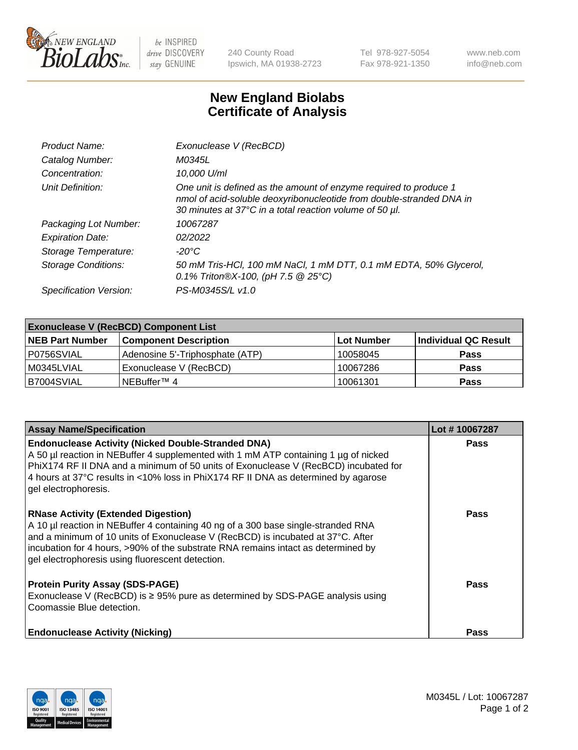

 $be$  INSPIRED drive DISCOVERY stay GENUINE

240 County Road Ipswich, MA 01938-2723 Tel 978-927-5054 Fax 978-921-1350 www.neb.com info@neb.com

## **New England Biolabs Certificate of Analysis**

| Product Name:              | Exonuclease V (RecBCD)                                                                                                                                                                               |
|----------------------------|------------------------------------------------------------------------------------------------------------------------------------------------------------------------------------------------------|
| Catalog Number:            | M0345L                                                                                                                                                                                               |
| Concentration:             | 10,000 U/ml                                                                                                                                                                                          |
| Unit Definition:           | One unit is defined as the amount of enzyme required to produce 1<br>nmol of acid-soluble deoxyribonucleotide from double-stranded DNA in<br>30 minutes at 37°C in a total reaction volume of 50 µl. |
| Packaging Lot Number:      | 10067287                                                                                                                                                                                             |
| <b>Expiration Date:</b>    | 02/2022                                                                                                                                                                                              |
| Storage Temperature:       | $-20^{\circ}$ C                                                                                                                                                                                      |
| <b>Storage Conditions:</b> | 50 mM Tris-HCl, 100 mM NaCl, 1 mM DTT, 0.1 mM EDTA, 50% Glycerol,<br>0.1% Triton®X-100, (pH 7.5 $@25°C$ )                                                                                            |
| Specification Version:     | PS-M0345S/L v1.0                                                                                                                                                                                     |

| <b>Exonuclease V (RecBCD) Component List</b> |                                 |            |                      |  |
|----------------------------------------------|---------------------------------|------------|----------------------|--|
| <b>NEB Part Number</b>                       | <b>Component Description</b>    | Lot Number | Individual QC Result |  |
| I P0756SVIAL                                 | Adenosine 5'-Triphosphate (ATP) | 10058045   | <b>Pass</b>          |  |
| M0345LVIAL                                   | Exonuclease V (RecBCD)          | 10067286   | <b>Pass</b>          |  |
| B7004SVIAL                                   | l NEBuffer™ 4                   | 10061301   | <b>Pass</b>          |  |

| <b>Assay Name/Specification</b>                                                                                                                                                                                                                                                                                                                             | Lot #10067287 |
|-------------------------------------------------------------------------------------------------------------------------------------------------------------------------------------------------------------------------------------------------------------------------------------------------------------------------------------------------------------|---------------|
| <b>Endonuclease Activity (Nicked Double-Stranded DNA)</b><br>A 50 µl reaction in NEBuffer 4 supplemented with 1 mM ATP containing 1 µg of nicked<br>PhiX174 RF II DNA and a minimum of 50 units of Exonuclease V (RecBCD) incubated for<br>4 hours at 37°C results in <10% loss in PhiX174 RF II DNA as determined by agarose<br>gel electrophoresis.       | <b>Pass</b>   |
| <b>RNase Activity (Extended Digestion)</b><br>A 10 µl reaction in NEBuffer 4 containing 40 ng of a 300 base single-stranded RNA<br>and a minimum of 10 units of Exonuclease V (RecBCD) is incubated at 37°C. After<br>incubation for 4 hours, >90% of the substrate RNA remains intact as determined by<br>gel electrophoresis using fluorescent detection. | <b>Pass</b>   |
| <b>Protein Purity Assay (SDS-PAGE)</b><br>Exonuclease V (RecBCD) is $\geq$ 95% pure as determined by SDS-PAGE analysis using<br>Coomassie Blue detection.                                                                                                                                                                                                   | <b>Pass</b>   |
| <b>Endonuclease Activity (Nicking)</b>                                                                                                                                                                                                                                                                                                                      | <b>Pass</b>   |